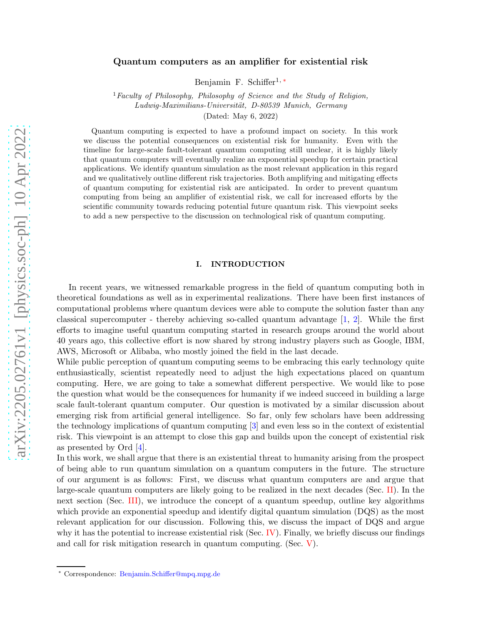## Quantum computers as an amplifier for existential risk

Benjamin F. Schiffer<sup>1,\*</sup>

<sup>1</sup> Faculty of Philosophy, Philosophy of Science and the Study of Religion, Ludwig-Maximilians-Universität, D-80539 Munich, Germany (Dated: May 6, 2022)

Quantum computing is expected to have a profound impact on society. In this work we discuss the potential consequences on existential risk for humanity. Even with the timeline for large-scale fault-tolerant quantum computing still unclear, it is highly likely that quantum computers will eventually realize an exponential speedup for certain practical applications. We identify quantum simulation as the most relevant application in this regard and we qualitatively outline different risk trajectories. Both amplifying and mitigating effects of quantum computing for existential risk are anticipated. In order to prevent quantum computing from being an amplifier of existential risk, we call for increased efforts by the scientific community towards reducing potential future quantum risk. This viewpoint seeks to add a new perspective to the discussion on technological risk of quantum computing.

# I. INTRODUCTION

In recent years, we witnessed remarkable progress in the field of quantum computing both in theoretical foundations as well as in experimental realizations. There have been first instances of computational problems where quantum devices were able to compute the solution faster than any classical supercomputer - thereby achieving so-called quantum advantage  $[1, 2]$  $[1, 2]$  $[1, 2]$ . While the first efforts to imagine useful quantum computing started in research groups around the world about 40 years ago, this collective effort is now shared by strong industry players such as Google, IBM, AWS, Microsoft or Alibaba, who mostly joined the field in the last decade.

While public perception of quantum computing seems to be embracing this early technology quite enthusiastically, scientist repeatedly need to adjust the high expectations placed on quantum computing. Here, we are going to take a somewhat different perspective. We would like to pose the question what would be the consequences for humanity if we indeed succeed in building a large scale fault-tolerant quantum computer. Our question is motivated by a similar discussion about emerging risk from artificial general intelligence. So far, only few scholars have been addressing the technology implications of quantum computing [\[3\]](#page-8-1) and even less so in the context of existential risk. This viewpoint is an attempt to close this gap and builds upon the concept of existential risk as presented by Ord [\[4](#page-8-2)].

In this work, we shall argue that there is an existential threat to humanity arising from the prospect of being able to run quantum simulation on a quantum computers in the future. The structure of our argument is as follows: First, we discuss what quantum computers are and argue that large-scale quantum computers are likely going to be realized in the next decades (Sec. [II\)](#page-1-0). In the next section (Sec. [III\)](#page-2-0), we introduce the concept of a quantum speedup, outline key algorithms which provide an exponential speedup and identify digital quantum simulation (DQS) as the most relevant application for our discussion. Following this, we discuss the impact of DQS and argue why it has the potential to increase existential risk (Sec. [IV\)](#page-4-0). Finally, we briefly discuss our findings and call for risk mitigation research in quantum computing. (Sec. [V\)](#page-7-1).

<span id="page-0-0"></span><sup>∗</sup> Correspondence: [Benjamin.Schiffer@mpq.mpg.de](mailto:Benjamin.Schiffer@mpq.mpg.de)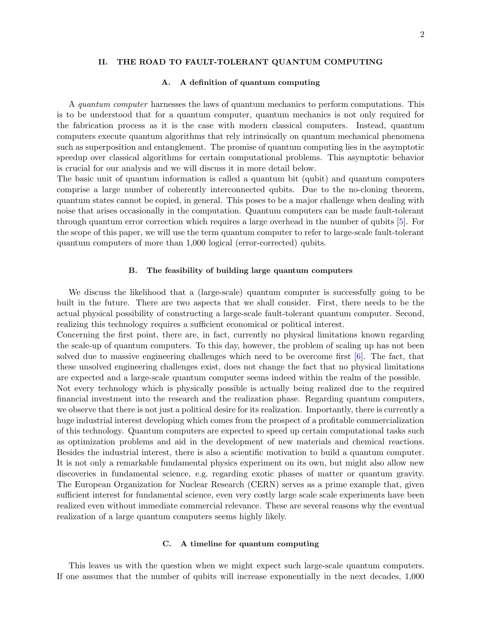#### <span id="page-1-0"></span>II. THE ROAD TO FAULT-TOLERANT QUANTUM COMPUTING

### A. A definition of quantum computing

A quantum computer harnesses the laws of quantum mechanics to perform computations. This is to be understood that for a quantum computer, quantum mechanics is not only required for the fabrication process as it is the case with modern classical computers. Instead, quantum computers execute quantum algorithms that rely intrinsically on quantum mechanical phenomena such as superposition and entanglement. The promise of quantum computing lies in the asymptotic speedup over classical algorithms for certain computational problems. This asymptotic behavior is crucial for our analysis and we will discuss it in more detail below.

The basic unit of quantum information is called a quantum bit (qubit) and quantum computers comprise a large number of coherently interconnected qubits. Due to the no-cloning theorem, quantum states cannot be copied, in general. This poses to be a major challenge when dealing with noise that arises occasionally in the computation. Quantum computers can be made fault-tolerant through quantum error correction which requires a large overhead in the number of qubits [\[5](#page-8-3)]. For the scope of this paper, we will use the term quantum computer to refer to large-scale fault-tolerant quantum computers of more than 1,000 logical (error-corrected) qubits.

### B. The feasibility of building large quantum computers

We discuss the likelihood that a (large-scale) quantum computer is successfully going to be built in the future. There are two aspects that we shall consider. First, there needs to be the actual physical possibility of constructing a large-scale fault-tolerant quantum computer. Second, realizing this technology requires a sufficient economical or political interest.

Concerning the first point, there are, in fact, currently no physical limitations known regarding the scale-up of quantum computers. To this day, however, the problem of scaling up has not been solved due to massive engineering challenges which need to be overcome first  $[6]$ . The fact, that these unsolved engineering challenges exist, does not change the fact that no physical limitations are expected and a large-scale quantum computer seems indeed within the realm of the possible. Not every technology which is physically possible is actually being realized due to the required financial investment into the research and the realization phase. Regarding quantum computers, we observe that there is not just a political desire for its realization. Importantly, there is currently a huge industrial interest developing which comes from the prospect of a profitable commercialization of this technology. Quantum computers are expected to speed up certain computational tasks such as optimization problems and aid in the development of new materials and chemical reactions. Besides the industrial interest, there is also a scientific motivation to build a quantum computer. It is not only a remarkable fundamental physics experiment on its own, but might also allow new discoveries in fundamental science, e.g. regarding exotic phases of matter or quantum gravity. The European Organization for Nuclear Research (CERN) serves as a prime example that, given sufficient interest for fundamental science, even very costly large scale scale experiments have been realized even without immediate commercial relevance. These are several reasons why the eventual realization of a large quantum computers seems highly likely.

### C. A timeline for quantum computing

This leaves us with the question when we might expect such large-scale quantum computers. If one assumes that the number of qubits will increase exponentially in the next decades, 1,000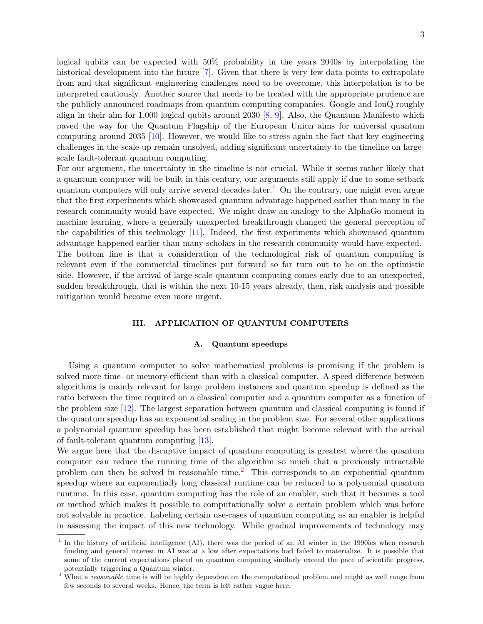logical qubits can be expected with 50% probability in the years 2040s by interpolating the historical development into the future [\[7](#page-8-5)]. Given that there is very few data points to extrapolate from and that significant engineering challenges need to be overcome, this interpolation is to be interpreted cautiously. Another source that needs to be treated with the appropriate prudence are the publicly announced roadmaps from quantum computing companies. Google and IonQ roughly align in their aim for 1,000 logical qubits around 2030 [\[8](#page-8-6), [9](#page-8-7)]. Also, the Quantum Manifesto which paved the way for the Quantum Flagship of the European Union aims for universal quantum computing around 2035 [\[10](#page-8-8)]. However, we would like to stress again the fact that key engineering challenges in the scale-up remain unsolved, adding significant uncertainty to the timeline on largescale fault-tolerant quantum computing.

For our argument, the uncertainty in the timeline is not crucial. While it seems rather likely that a quantum computer will be built in this century, our arguments still apply if due to some setback quantum computers will only arrive several decades later.<sup>[1](#page-2-1)</sup> On the contrary, one might even argue that the first experiments which showcased quantum advantage happened earlier than many in the research community would have expected. We might draw an analogy to the AlphaGo moment in machine learning, where a generally unexpected breakthrough changed the general perception of the capabilities of this technology [\[11\]](#page-8-9). Indeed, the first experiments which showcased quantum advantage happened earlier than many scholars in the research community would have expected. The bottom line is that a consideration of the technological risk of quantum computing is relevant even if the commercial timelines put forward so far turn out to be on the optimistic

side. However, if the arrival of large-scale quantum computing comes early due to an unexpected, sudden breakthrough, that is within the next 10-15 years already, then, risk analysis and possible mitigation would become even more urgent.

### <span id="page-2-0"></span>III. APPLICATION OF QUANTUM COMPUTERS

#### A. Quantum speedups

Using a quantum computer to solve mathematical problems is promising if the problem is solved more time- or memory-efficient than with a classical computer. A speed difference between algorithms is mainly relevant for large problem instances and quantum speedup is defined as the ratio between the time required on a classical computer and a quantum computer as a function of the problem size [\[12\]](#page-8-10). The largest separation between quantum and classical computing is found if the quantum speedup has an exponential scaling in the problem size. For several other applications a polynomial quantum speedup has been established that might become relevant with the arrival of fault-tolerant quantum computing [\[13](#page-8-11)].

We argue here that the disruptive impact of quantum computing is greatest where the quantum computer can reduce the running time of the algorithm so much that a previously intractable problem can then be solved in reasonable time.<sup>[2](#page-2-2)</sup> This corresponds to an exponential quantum speedup where an exponentially long classical runtime can be reduced to a polynomial quantum runtime. In this case, quantum computing has the role of an enabler, such that it becomes a tool or method which makes it possible to computationally solve a certain problem which was before not solvable in practice. Labeling certain use-cases of quantum computing as an enabler is helpful in assessing the impact of this new technology. While gradual improvements of technology may

<span id="page-2-1"></span><sup>&</sup>lt;sup>1</sup> In the history of artificial intelligence (AI), there was the period of an AI winter in the 1990ies when research funding and general interest in AI was at a low after expectations had failed to materialize. It is possible that some of the current expectations placed on quantum computing similarly exceed the pace of scientific progress, potentially triggering a Quantum winter.

<span id="page-2-2"></span><sup>&</sup>lt;sup>2</sup> What a *reasonable* time is will be highly dependent on the computational problem and might as well range from few seconds to several weeks. Hence, the term is left rather vague here.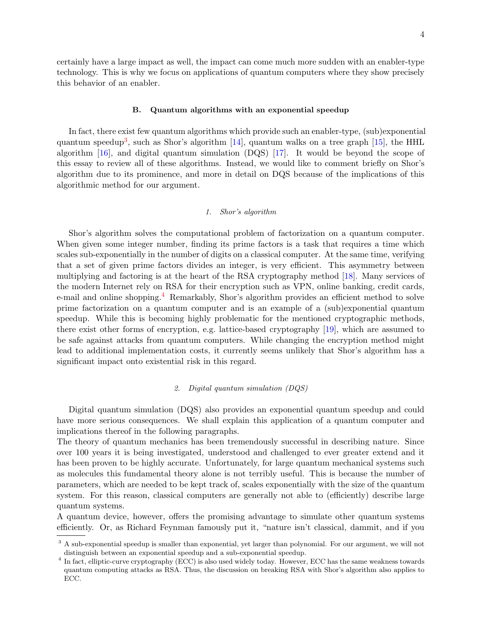certainly have a large impact as well, the impact can come much more sudden with an enabler-type technology. This is why we focus on applications of quantum computers where they show precisely this behavior of an enabler.

### B. Quantum algorithms with an exponential speedup

In fact, there exist few quantum algorithms which provide such an enabler-type, (sub)exponential quantum speedup<sup>[3](#page-3-0)</sup>, such as Shor's algorithm [\[14](#page-8-12)], quantum walks on a tree graph [\[15](#page-8-13)], the HHL algorithm [\[16](#page-8-14)], and digital quantum simulation (DQS) [\[17\]](#page-8-15). It would be beyond the scope of this essay to review all of these algorithms. Instead, we would like to comment briefly on Shor's algorithm due to its prominence, and more in detail on DQS because of the implications of this algorithmic method for our argument.

### 1. Shor's algorithm

Shor's algorithm solves the computational problem of factorization on a quantum computer. When given some integer number, finding its prime factors is a task that requires a time which scales sub-exponentially in the number of digits on a classical computer. At the same time, verifying that a set of given prime factors divides an integer, is very efficient. This asymmetry between multiplying and factoring is at the heart of the RSA cryptography method [\[18](#page-8-16)]. Many services of the modern Internet rely on RSA for their encryption such as VPN, online banking, credit cards, e-mail and online shopping.[4](#page-3-1) Remarkably, Shor's algorithm provides an efficient method to solve prime factorization on a quantum computer and is an example of a (sub)exponential quantum speedup. While this is becoming highly problematic for the mentioned cryptographic methods, there exist other forms of encryption, e.g. lattice-based cryptography [\[19](#page-8-17)], which are assumed to be safe against attacks from quantum computers. While changing the encryption method might lead to additional implementation costs, it currently seems unlikely that Shor's algorithm has a significant impact onto existential risk in this regard.

### 2. Digital quantum simulation (DQS)

Digital quantum simulation (DQS) also provides an exponential quantum speedup and could have more serious consequences. We shall explain this application of a quantum computer and implications thereof in the following paragraphs.

The theory of quantum mechanics has been tremendously successful in describing nature. Since over 100 years it is being investigated, understood and challenged to ever greater extend and it has been proven to be highly accurate. Unfortunately, for large quantum mechanical systems such as molecules this fundamental theory alone is not terribly useful. This is because the number of parameters, which are needed to be kept track of, scales exponentially with the size of the quantum system. For this reason, classical computers are generally not able to (efficiently) describe large quantum systems.

A quantum device, however, offers the promising advantage to simulate other quantum systems efficiently. Or, as Richard Feynman famously put it, "nature isn't classical, dammit, and if you

<span id="page-3-0"></span><sup>&</sup>lt;sup>3</sup> A sub-exponential speedup is smaller than exponential, yet larger than polynomial. For our argument, we will not distinguish between an exponential speedup and a sub-exponential speedup.

<span id="page-3-1"></span><sup>&</sup>lt;sup>4</sup> In fact, elliptic-curve cryptography (ECC) is also used widely today. However, ECC has the same weakness towards quantum computing attacks as RSA. Thus, the discussion on breaking RSA with Shor's algorithm also applies to ECC.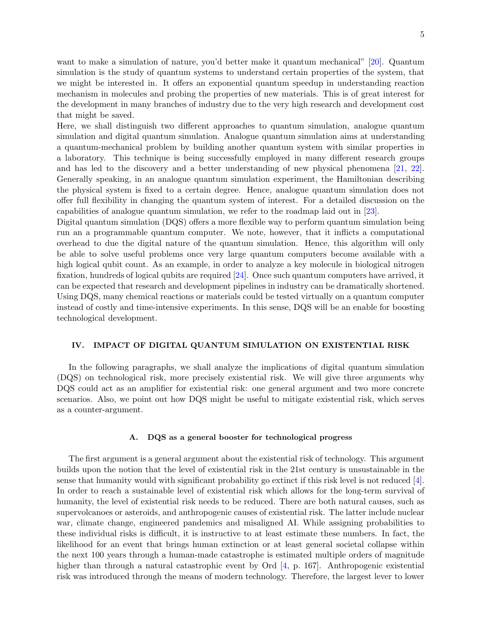want to make a simulation of nature, you'd better make it quantum mechanical" [\[20\]](#page-8-18). Quantum simulation is the study of quantum systems to understand certain properties of the system, that we might be interested in. It offers an exponential quantum speedup in understanding reaction mechanism in molecules and probing the properties of new materials. This is of great interest for the development in many branches of industry due to the very high research and development cost that might be saved.

Here, we shall distinguish two different approaches to quantum simulation, analogue quantum simulation and digital quantum simulation. Analogue quantum simulation aims at understanding a quantum-mechanical problem by building another quantum system with similar properties in a laboratory. This technique is being successfully employed in many different research groups and has led to the discovery and a better understanding of new physical phenomena [\[21](#page-8-19), [22](#page-8-20)]. Generally speaking, in an analogue quantum simulation experiment, the Hamiltonian describing the physical system is fixed to a certain degree. Hence, analogue quantum simulation does not offer full flexibility in changing the quantum system of interest. For a detailed discussion on the capabilities of analogue quantum simulation, we refer to the roadmap laid out in [\[23](#page-8-21)].

Digital quantum simulation (DQS) offers a more flexible way to perform quantum simulation being run an a programmable quantum computer. We note, however, that it inflicts a computational overhead to due the digital nature of the quantum simulation. Hence, this algorithm will only be able to solve useful problems once very large quantum computers become available with a high logical qubit count. As an example, in order to analyze a key molecule in biological nitrogen fixation, hundreds of logical qubits are required [\[24](#page-9-0)]. Once such quantum computers have arrived, it can be expected that research and development pipelines in industry can be dramatically shortened. Using DQS, many chemical reactions or materials could be tested virtually on a quantum computer instead of costly and time-intensive experiments. In this sense, DQS will be an enable for boosting technological development.

### <span id="page-4-0"></span>IV. IMPACT OF DIGITAL QUANTUM SIMULATION ON EXISTENTIAL RISK

In the following paragraphs, we shall analyze the implications of digital quantum simulation (DQS) on technological risk, more precisely existential risk. We will give three arguments why DQS could act as an amplifier for existential risk: one general argument and two more concrete scenarios. Also, we point out how DQS might be useful to mitigate existential risk, which serves as a counter-argument.

#### A. DQS as a general booster for technological progress

The first argument is a general argument about the existential risk of technology. This argument builds upon the notion that the level of existential risk in the 21st century is unsustainable in the sense that humanity would with significant probability go extinct if this risk level is not reduced [\[4](#page-8-2)]. In order to reach a sustainable level of existential risk which allows for the long-term survival of humanity, the level of existential risk needs to be reduced. There are both natural causes, such as supervolcanoes or asteroids, and anthropogenic causes of existential risk. The latter include nuclear war, climate change, engineered pandemics and misaligned AI. While assigning probabilities to these individual risks is difficult, it is instructive to at least estimate these numbers. In fact, the likelihood for an event that brings human extinction or at least general societal collapse within the next 100 years through a human-made catastrophe is estimated multiple orders of magnitude higher than through a natural catastrophic event by Ord [\[4,](#page-8-2) p. 167]. Anthropogenic existential risk was introduced through the means of modern technology. Therefore, the largest lever to lower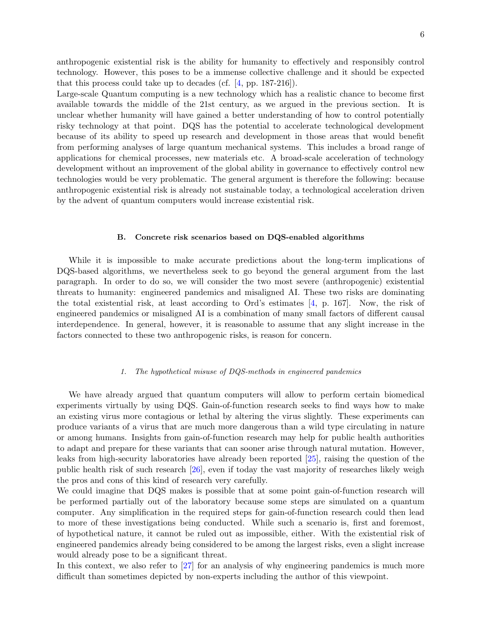anthropogenic existential risk is the ability for humanity to effectively and responsibly control technology. However, this poses to be a immense collective challenge and it should be expected that this process could take up to decades (cf. [\[4,](#page-8-2) pp. 187-216]).

Large-scale Quantum computing is a new technology which has a realistic chance to become first available towards the middle of the 21st century, as we argued in the previous section. It is unclear whether humanity will have gained a better understanding of how to control potentially risky technology at that point. DQS has the potential to accelerate technological development because of its ability to speed up research and development in those areas that would benefit from performing analyses of large quantum mechanical systems. This includes a broad range of applications for chemical processes, new materials etc. A broad-scale acceleration of technology development without an improvement of the global ability in governance to effectively control new technologies would be very problematic. The general argument is therefore the following: because anthropogenic existential risk is already not sustainable today, a technological acceleration driven by the advent of quantum computers would increase existential risk.

#### B. Concrete risk scenarios based on DQS-enabled algorithms

While it is impossible to make accurate predictions about the long-term implications of DQS-based algorithms, we nevertheless seek to go beyond the general argument from the last paragraph. In order to do so, we will consider the two most severe (anthropogenic) existential threats to humanity: engineered pandemics and misaligned AI. These two risks are dominating the total existential risk, at least according to Ord's estimates  $[4, p. 167]$ . Now, the risk of engineered pandemics or misaligned AI is a combination of many small factors of different causal interdependence. In general, however, it is reasonable to assume that any slight increase in the factors connected to these two anthropogenic risks, is reason for concern.

### 1. The hypothetical misuse of DQS-methods in engineered pandemics

We have already argued that quantum computers will allow to perform certain biomedical experiments virtually by using DQS. Gain-of-function research seeks to find ways how to make an existing virus more contagious or lethal by altering the virus slightly. These experiments can produce variants of a virus that are much more dangerous than a wild type circulating in nature or among humans. Insights from gain-of-function research may help for public health authorities to adapt and prepare for these variants that can sooner arise through natural mutation. However, leaks from high-security laboratories have already been reported [\[25\]](#page-9-1), raising the question of the public health risk of such research [\[26](#page-9-2)], even if today the vast majority of researches likely weigh the pros and cons of this kind of research very carefully.

We could imagine that DQS makes is possible that at some point gain-of-function research will be performed partially out of the laboratory because some steps are simulated on a quantum computer. Any simplification in the required steps for gain-of-function research could then lead to more of these investigations being conducted. While such a scenario is, first and foremost, of hypothetical nature, it cannot be ruled out as impossible, either. With the existential risk of engineered pandemics already being considered to be among the largest risks, even a slight increase would already pose to be a significant threat.

In this context, we also refer to [\[27](#page-9-3)] for an analysis of why engineering pandemics is much more difficult than sometimes depicted by non-experts including the author of this viewpoint.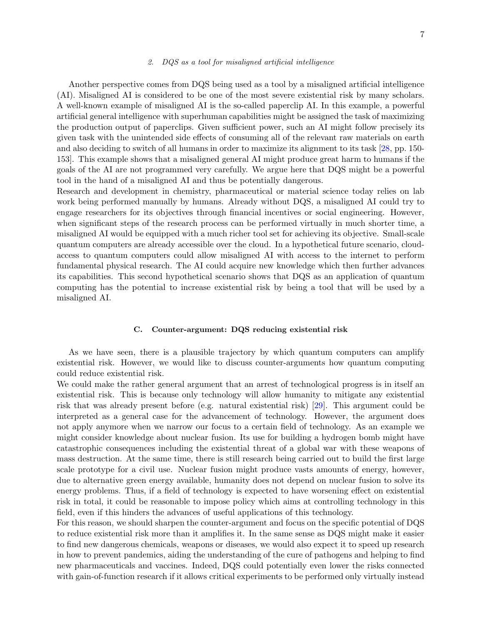#### 2. DQS as a tool for misaligned artificial intelligence

Another perspective comes from DQS being used as a tool by a misaligned artificial intelligence (AI). Misaligned AI is considered to be one of the most severe existential risk by many scholars. A well-known example of misaligned AI is the so-called paperclip AI. In this example, a powerful artificial general intelligence with superhuman capabilities might be assigned the task of maximizing the production output of paperclips. Given sufficient power, such an AI might follow precisely its given task with the unintended side effects of consuming all of the relevant raw materials on earth and also deciding to switch of all humans in order to maximize its alignment to its task [\[28](#page-9-4), pp. 150- 153]. This example shows that a misaligned general AI might produce great harm to humans if the goals of the AI are not programmed very carefully. We argue here that DQS might be a powerful tool in the hand of a misaligned AI and thus be potentially dangerous.

Research and development in chemistry, pharmaceutical or material science today relies on lab work being performed manually by humans. Already without DQS, a misaligned AI could try to engage researchers for its objectives through financial incentives or social engineering. However, when significant steps of the research process can be performed virtually in much shorter time, a misaligned AI would be equipped with a much richer tool set for achieving its objective. Small-scale quantum computers are already accessible over the cloud. In a hypothetical future scenario, cloudaccess to quantum computers could allow misaligned AI with access to the internet to perform fundamental physical research. The AI could acquire new knowledge which then further advances its capabilities. This second hypothetical scenario shows that DQS as an application of quantum computing has the potential to increase existential risk by being a tool that will be used by a misaligned AI.

#### C. Counter-argument: DQS reducing existential risk

As we have seen, there is a plausible trajectory by which quantum computers can amplify existential risk. However, we would like to discuss counter-arguments how quantum computing could reduce existential risk.

We could make the rather general argument that an arrest of technological progress is in itself an existential risk. This is because only technology will allow humanity to mitigate any existential risk that was already present before (e.g. natural existential risk) [\[29](#page-9-5)]. This argument could be interpreted as a general case for the advancement of technology. However, the argument does not apply anymore when we narrow our focus to a certain field of technology. As an example we might consider knowledge about nuclear fusion. Its use for building a hydrogen bomb might have catastrophic consequences including the existential threat of a global war with these weapons of mass destruction. At the same time, there is still research being carried out to build the first large scale prototype for a civil use. Nuclear fusion might produce vasts amounts of energy, however, due to alternative green energy available, humanity does not depend on nuclear fusion to solve its energy problems. Thus, if a field of technology is expected to have worsening effect on existential risk in total, it could be reasonable to impose policy which aims at controlling technology in this field, even if this hinders the advances of useful applications of this technology.

For this reason, we should sharpen the counter-argument and focus on the specific potential of DQS to reduce existential risk more than it amplifies it. In the same sense as DQS might make it easier to find new dangerous chemicals, weapons or diseases, we would also expect it to speed up research in how to prevent pandemics, aiding the understanding of the cure of pathogens and helping to find new pharmaceuticals and vaccines. Indeed, DQS could potentially even lower the risks connected with gain-of-function research if it allows critical experiments to be performed only virtually instead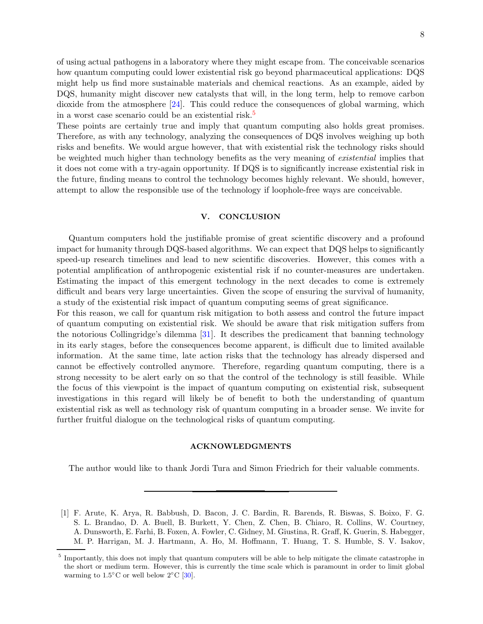of using actual pathogens in a laboratory where they might escape from. The conceivable scenarios how quantum computing could lower existential risk go beyond pharmaceutical applications: DQS might help us find more sustainable materials and chemical reactions. As an example, aided by DQS, humanity might discover new catalysts that will, in the long term, help to remove carbon dioxide from the atmosphere [\[24](#page-9-0)]. This could reduce the consequences of global warming, which in a worst case scenario could be an existential risk.[5](#page-7-2)

These points are certainly true and imply that quantum computing also holds great promises. Therefore, as with any technology, analyzing the consequences of DQS involves weighing up both risks and benefits. We would argue however, that with existential risk the technology risks should be weighted much higher than technology benefits as the very meaning of existential implies that it does not come with a try-again opportunity. If DQS is to significantly increase existential risk in the future, finding means to control the technology becomes highly relevant. We should, however, attempt to allow the responsible use of the technology if loophole-free ways are conceivable.

# <span id="page-7-1"></span>V. CONCLUSION

Quantum computers hold the justifiable promise of great scientific discovery and a profound impact for humanity through DQS-based algorithms. We can expect that DQS helps to significantly speed-up research timelines and lead to new scientific discoveries. However, this comes with a potential amplification of anthropogenic existential risk if no counter-measures are undertaken. Estimating the impact of this emergent technology in the next decades to come is extremely difficult and bears very large uncertainties. Given the scope of ensuring the survival of humanity, a study of the existential risk impact of quantum computing seems of great significance.

For this reason, we call for quantum risk mitigation to both assess and control the future impact of quantum computing on existential risk. We should be aware that risk mitigation suffers from the notorious Collingridge's dilemma [\[31](#page-9-6)]. It describes the predicament that banning technology in its early stages, before the consequences become apparent, is difficult due to limited available information. At the same time, late action risks that the technology has already dispersed and cannot be effectively controlled anymore. Therefore, regarding quantum computing, there is a strong necessity to be alert early on so that the control of the technology is still feasible. While the focus of this viewpoint is the impact of quantum computing on existential risk, subsequent investigations in this regard will likely be of benefit to both the understanding of quantum existential risk as well as technology risk of quantum computing in a broader sense. We invite for further fruitful dialogue on the technological risks of quantum computing.

### ACKNOWLEDGMENTS

The author would like to thank Jordi Tura and Simon Friedrich for their valuable comments.

<span id="page-7-0"></span>[1] F. Arute, K. Arya, R. Babbush, D. Bacon, J. C. Bardin, R. Barends, R. Biswas, S. Boixo, F. G. S. L. Brandao, D. A. Buell, B. Burkett, Y. Chen, Z. Chen, B. Chiaro, R. Collins, W. Courtney, A. Dunsworth, E. Farhi, B. Foxen, A. Fowler, C. Gidney, M. Giustina, R. Graff, K. Guerin, S. Habegger, M. P. Harrigan, M. J. Hartmann, A. Ho, M. Hoffmann, T. Huang, T. S. Humble, S. V. Isakov,

<span id="page-7-2"></span><sup>&</sup>lt;sup>5</sup> Importantly, this does not imply that quantum computers will be able to help mitigate the climate catastrophe in the short or medium term. However, this is currently the time scale which is paramount in order to limit global warming to  $1.5^{\circ}$ C or well below  $2^{\circ}$ C [\[30](#page-9-7)].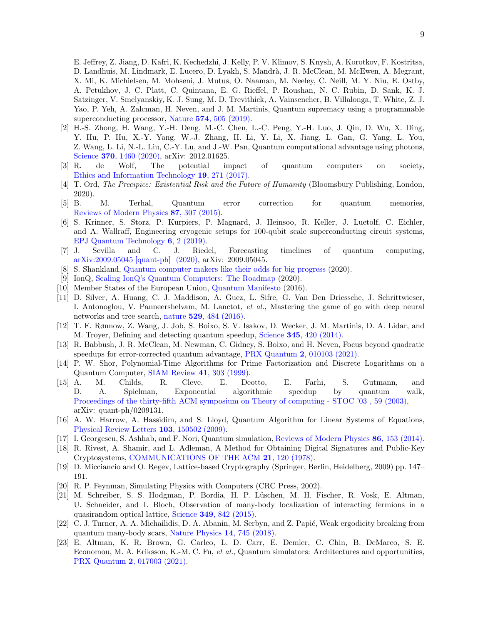E. Jeffrey, Z. Jiang, D. Kafri, K. Kechedzhi, J. Kelly, P. V. Klimov, S. Knysh, A. Korotkov, F. Kostritsa, D. Landhuis, M. Lindmark, E. Lucero, D. Lyakh, S. Mandr`a, J. R. McClean, M. McEwen, A. Megrant, X. Mi, K. Michielsen, M. Mohseni, J. Mutus, O. Naaman, M. Neeley, C. Neill, M. Y. Niu, E. Ostby, A. Petukhov, J. C. Platt, C. Quintana, E. G. Rieffel, P. Roushan, N. C. Rubin, D. Sank, K. J. Satzinger, V. Smelyanskiy, K. J. Sung, M. D. Trevithick, A. Vainsencher, B. Villalonga, T. White, Z. J. Yao, P. Yeh, A. Zalcman, H. Neven, and J. M. Martinis, Quantum supremacy using a programmable superconducting processor, Nature 574[, 505 \(2019\).](https://doi.org/10.1038/s41586-019-1666-5)

- <span id="page-8-0"></span>[2] H.-S. Zhong, H. Wang, Y.-H. Deng, M.-C. Chen, L.-C. Peng, Y.-H. Luo, J. Qin, D. Wu, X. Ding, Y. Hu, P. Hu, X.-Y. Yang, W.-J. Zhang, H. Li, Y. Li, X. Jiang, L. Gan, G. Yang, L. You, Z. Wang, L. Li, N.-L. Liu, C.-Y. Lu, and J.-W. Pan, Quantum computational advantage using photons, Science **370**[, 1460 \(2020\),](https://doi.org/10.1126/science.abe8770) arXiv: 2012.01625.
- <span id="page-8-1"></span>[3] R. de Wolf, The potential impact of quantum computers on society, [Ethics and Information Technology](https://doi.org/10.1007/s10676-017-9439-z) 19, 271 (2017).
- <span id="page-8-2"></span>[4] T. Ord, The Precipice: Existential Risk and the Future of Humanity (Bloomsbury Publishing, London, 2020).
- <span id="page-8-3"></span>[5] B. M. Terhal, Quantum error correction for quantum memories, [Reviews of Modern Physics](https://doi.org/10.1103/RevModPhys.87.307) 87, 307 (2015).
- <span id="page-8-4"></span>[6] S. Krinner, S. Storz, P. Kurpiers, P. Magnard, J. Heinsoo, R. Keller, J. Luetolf, C. Eichler, and A. Wallraff, Engineering cryogenic setups for 100-qubit scale superconducting circuit systems, [EPJ Quantum Technology](https://doi.org/10.1140/epjqt/s40507-019-0072-0) 6, 2 (2019).
- <span id="page-8-5"></span>[7] J. Sevilla and C. J. Riedel, Forecasting timelines of quantum computing, [arXiv:2009.05045 \[quant-ph\] \(2020\),](http://arxiv.org/abs/2009.05045) arXiv: 2009.05045.
- <span id="page-8-6"></span>[8] S. Shankland, [Quantum computer makers like their odds for big progress](https://www.cnet.com/tech/computing/quantum-computer-makers-like-their-odds-for-big-progress-soon/) (2020).
- <span id="page-8-7"></span>[9] IonQ, [Scaling IonQ's Quantum Computers: The Roadmap](https://ionq.com/posts/december-09-2020-scaling-quantum-computer-roadmap) (2020).
- <span id="page-8-8"></span>[10] Member States of the European Union, [Quantum Manifesto](https://qt.eu/app/uploads/2018/04/93056_Quantum-Manifesto_WEB.pdf) (2016).
- <span id="page-8-9"></span>[11] D. Silver, A. Huang, C. J. Maddison, A. Guez, L. Sifre, G. Van Den Driessche, J. Schrittwieser, I. Antonoglou, V. Panneershelvam, M. Lanctot, et al., Mastering the game of go with deep neural networks and tree search, nature 529[, 484 \(2016\).](https://doi.org/10.1038/nature16961)
- <span id="page-8-10"></span>[12] T. F. Rønnow, Z. Wang, J. Job, S. Boixo, S. V. Isakov, D. Wecker, J. M. Martinis, D. A. Lidar, and M. Troyer, Defining and detecting quantum speedup, Science 345[, 420 \(2014\).](https://doi.org/10.1126/science.1252319)
- <span id="page-8-11"></span>[13] R. Babbush, J. R. McClean, M. Newman, C. Gidney, S. Boixo, and H. Neven, Focus beyond quadratic speedups for error-corrected quantum advantage, PRX Quantum 2[, 010103 \(2021\).](https://doi.org/10.1103/PRXQuantum.2.010103)
- <span id="page-8-12"></span>[14] P. W. Shor, Polynomial-Time Algorithms for Prime Factorization and Discrete Logarithms on a Quantum Computer, [SIAM Review](https://doi.org/10.1137/S0036144598347011) 41, 303 (1999).
- <span id="page-8-13"></span>[15] A. M. Childs, R. Cleve, E. Deotto, E. Farhi, S. Gutmann, and D. A. Spielman, Exponential algorithmic speedup by quantum walk, [Proceedings of the thirty-fifth ACM symposium on Theory of computing - STOC '03 , 59 \(2003\),](https://doi.org/10.1145/780542.780552) arXiv: quant-ph/0209131.
- <span id="page-8-14"></span>[16] A. W. Harrow, A. Hassidim, and S. Lloyd, Quantum Algorithm for Linear Systems of Equations, [Physical Review Letters](https://doi.org/10.1103/PhysRevLett.103.150502) 103, 150502 (2009).
- <span id="page-8-15"></span>[17] I. Georgescu, S. Ashhab, and F. Nori, Quantum simulation, [Reviews of Modern Physics](https://doi.org/10.1103/RevModPhys.86.153) 86, 153 (2014).
- <span id="page-8-16"></span>[18] R. Rivest, A. Shamir, and L. Adleman, A Method for Obtaining Digital Signatures and Public-Key Cryptosystems, [COMMUNICATIONS OF THE ACM](http://130.203.136.95/viewdoc/summary?doi=10.1.1.40.5588) 21, 120 (1978).
- <span id="page-8-17"></span>[19] D. Micciancio and O. Regev, Lattice-based Cryptography (Springer, Berlin, Heidelberg, 2009) pp. 147– 191.
- <span id="page-8-18"></span>[20] R. P. Feynman, Simulating Physics with Computers (CRC Press, 2002).
- <span id="page-8-19"></span>[21] M. Schreiber, S. S. Hodgman, P. Bordia, H. P. L¨uschen, M. H. Fischer, R. Vosk, E. Altman, U. Schneider, and I. Bloch, Observation of many-body localization of interacting fermions in a quasirandom optical lattice, Science 349[, 842 \(2015\).](https://doi.org/10.1126/science.aaa7432)
- <span id="page-8-20"></span>[22] C. J. Turner, A. A. Michailidis, D. A. Abanin, M. Serbyn, and Z. Papić, Weak ergodicity breaking from quantum many-body scars, [Nature Physics](https://doi.org/10.5518/335) 14, 745 (2018).
- <span id="page-8-21"></span>[23] E. Altman, K. R. Brown, G. Carleo, L. D. Carr, E. Demler, C. Chin, B. DeMarco, S. E. Economou, M. A. Eriksson, K.-M. C. Fu, et al., Quantum simulators: Architectures and opportunities, PRX Quantum 2[, 017003 \(2021\).](https://doi.org/10.1103/PRXQuantum.2.017003)